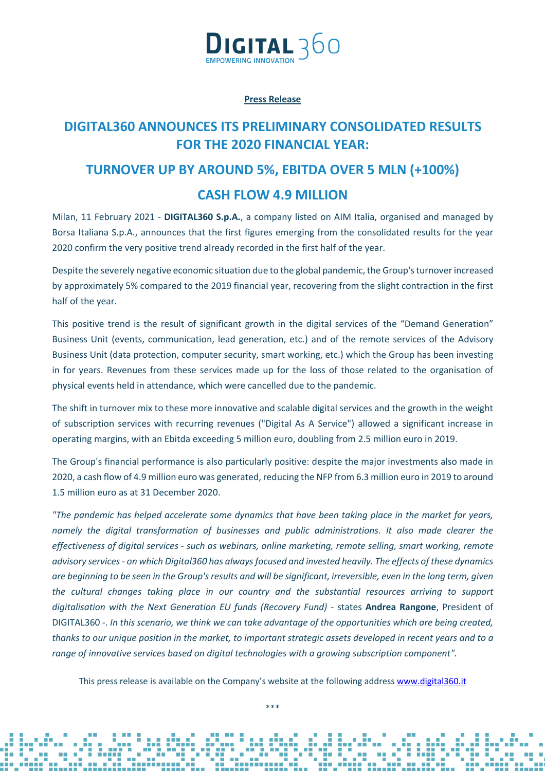

### **Press Release**

## **DIGITAL360 ANNOUNCES ITS PRELIMINARY CONSOLIDATED RESULTS FOR THE 2020 FINANCIAL YEAR:**

# **TURNOVER UP BY AROUND 5%, EBITDA OVER 5 MLN (+100%) CASH FLOW 4.9 MILLION**

Milan, 11 February 2021 - **DIGITAL360 S.p.A.**, a company listed on AIM Italia, organised and managed by Borsa Italiana S.p.A., announces that the first figures emerging from the consolidated results for the year 2020 confirm the very positive trend already recorded in the first half of the year.

Despite the severely negative economic situation due to the global pandemic, the Group's turnover increased by approximately 5% compared to the 2019 financial year, recovering from the slight contraction in the first half of the year.

This positive trend is the result of significant growth in the digital services of the "Demand Generation" Business Unit (events, communication, lead generation, etc.) and of the remote services of the Advisory Business Unit (data protection, computer security, smart working, etc.) which the Group has been investing in for years. Revenues from these services made up for the loss of those related to the organisation of physical events held in attendance, which were cancelled due to the pandemic.

The shift in turnover mix to these more innovative and scalable digital services and the growth in the weight of subscription services with recurring revenues ("Digital As A Service") allowed a significant increase in operating margins, with an Ebitda exceeding 5 million euro, doubling from 2.5 million euro in 2019.

The Group's financial performance is also particularly positive: despite the major investments also made in 2020, a cash flow of 4.9 million euro was generated, reducing the NFP from 6.3 million euro in 2019 to around 1.5 million euro as at 31 December 2020.

*"The pandemic has helped accelerate some dynamics that have been taking place in the market for years, namely the digital transformation of businesses and public administrations. It also made clearer the effectiveness of digital services - such as webinars, online marketing, remote selling, smart working, remote advisory services - on which Digital360 has always focused and invested heavily. The effects of these dynamics are beginning to be seen in the Group's results and will be significant, irreversible, even in the long term, given the cultural changes taking place in our country and the substantial resources arriving to support digitalisation with the Next Generation EU funds (Recovery Fund)* - states **Andrea Rangone**, President of DIGITAL360 -. *In this scenario, we think we can take advantage of the opportunities which are being created, thanks to our unique position in the market, to important strategic assets developed in recent years and to a range of innovative services based on digital technologies with a growing subscription component".*

This press release is available on the Company's website at the following address www.digital360.it